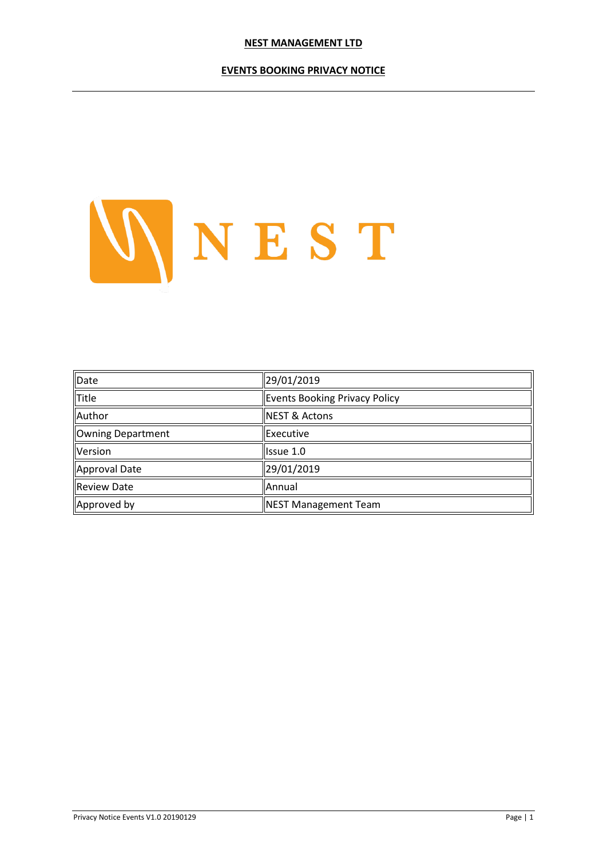#### **EVENTS BOOKING PRIVACY NOTICE**



| Date              | 29/01/2019                           |  |
|-------------------|--------------------------------------|--|
| Title             | <b>Events Booking Privacy Policy</b> |  |
| Author            | <b>NEST &amp; Actons</b>             |  |
| Owning Department | <b>Executive</b>                     |  |
| Version           | <b>Issue 1.0</b>                     |  |
| Approval Date     | 29/01/2019                           |  |
| Review Date       | Annual                               |  |
| Approved by       | <b>NEST Management Team</b>          |  |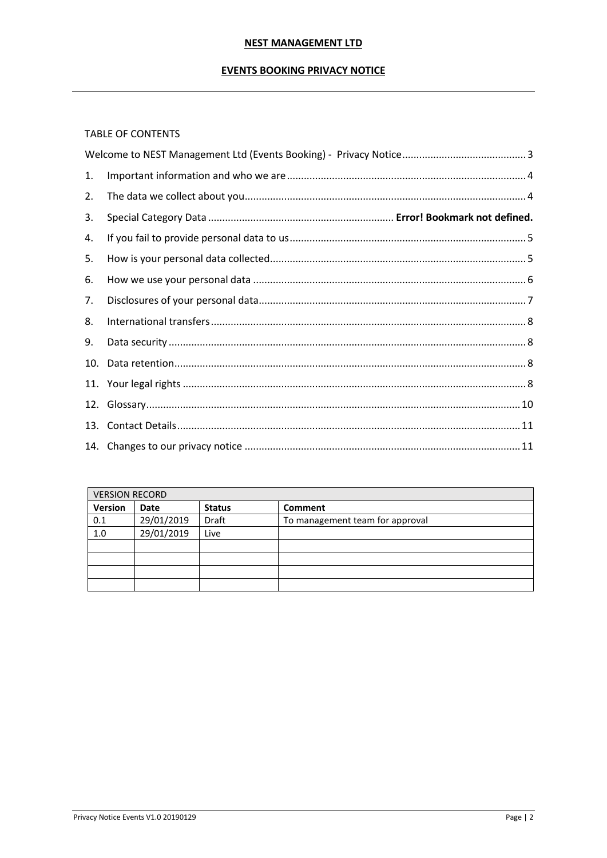## **EVENTS BOOKING PRIVACY NOTICE**

## TABLE OF CONTENTS

| 1. |  |
|----|--|
| 2. |  |
| 3. |  |
| 4. |  |
| 5. |  |
| 6. |  |
| 7. |  |
| 8. |  |
| 9. |  |
|    |  |
|    |  |
|    |  |
|    |  |
|    |  |

| <b>VERSION RECORD</b> |             |               |                                 |  |  |
|-----------------------|-------------|---------------|---------------------------------|--|--|
| Version               | <b>Date</b> | <b>Status</b> | Comment                         |  |  |
| 0.1                   | 29/01/2019  | <b>Draft</b>  | To management team for approval |  |  |
| 1.0                   | 29/01/2019  | Live          |                                 |  |  |
|                       |             |               |                                 |  |  |
|                       |             |               |                                 |  |  |
|                       |             |               |                                 |  |  |
|                       |             |               |                                 |  |  |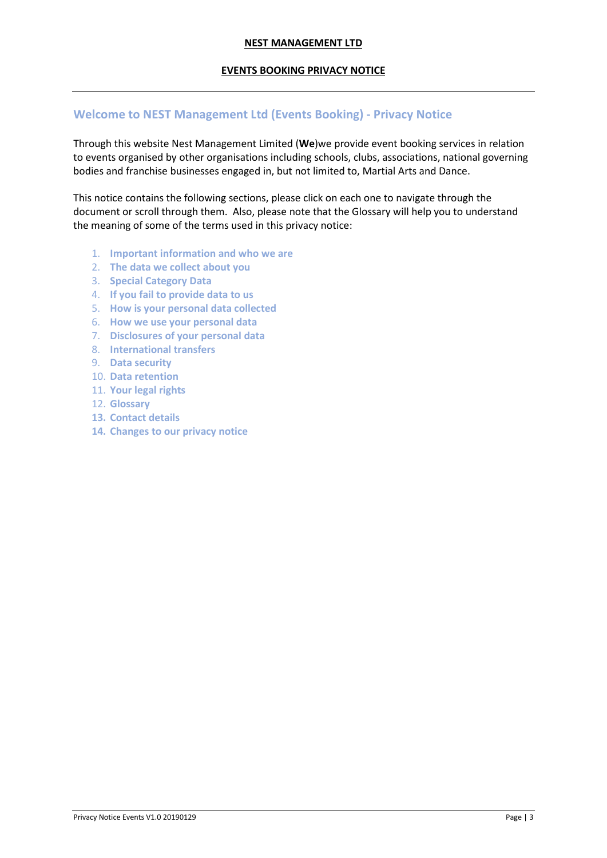### **EVENTS BOOKING PRIVACY NOTICE**

## <span id="page-2-0"></span>**Welcome to NEST Management Ltd (Events Booking) - Privacy Notice**

Through this website Nest Management Limited (**We**)we provide event booking services in relation to events organised by other organisations including schools, clubs, associations, national governing bodies and franchise businesses engaged in, but not limited to, Martial Arts and Dance.

This notice contains the following sections, please click on each one to navigate through the document or scroll through them. Also, please note that the Glossary will help you to understand the meaning of some of the terms used in this privacy notice:

- 1. **[Important information and who we are](http://www.actons.co.uk/privacy-notice#1)**
- 2. **[The data we collect about you](http://www.actons.co.uk/privacy-notice#2)**
- 3. **Special Category Data**
- 4. **If you fail to provide data to us**
- 5. **[How is your personal data collected](http://www.actons.co.uk/privacy-notice#3)**
- 6. **[How we use your personal data](http://www.actons.co.uk/privacy-notice#4)**
- 7. **[Disclosures of your personal data](http://www.actons.co.uk/privacy-notice#5)**
- 8. **[International transfers](http://www.actons.co.uk/privacy-notice#6)**
- 9. **[Data security](http://www.actons.co.uk/privacy-notice#7)**
- 10. **Data [retention](http://www.actons.co.uk/privacy-notice#8)**
- 11. **[Your legal rights](http://www.actons.co.uk/privacy-notice#9)**
- 12. **[Glossary](http://www.actons.co.uk/privacy-notice#10)**
- **13. Contact details**
- **14. Changes to our privacy notice**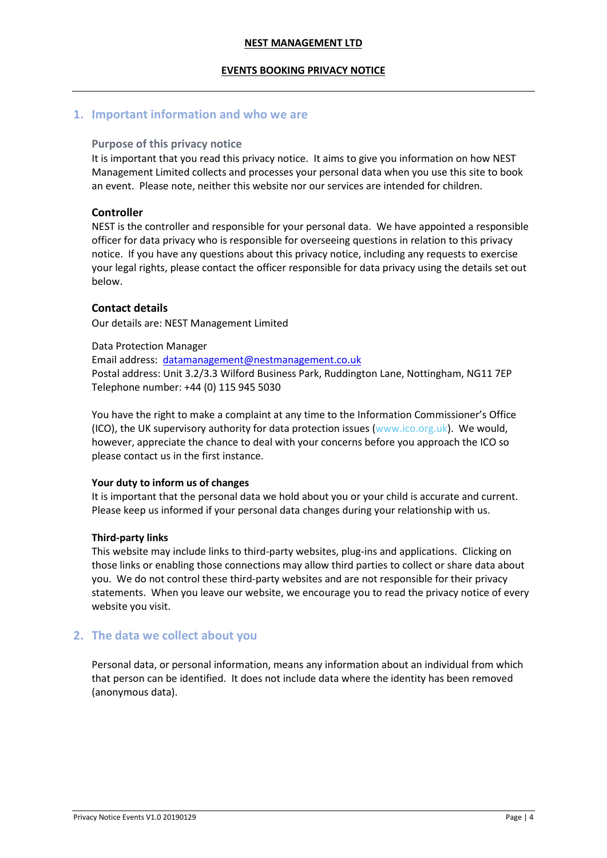#### **EVENTS BOOKING PRIVACY NOTICE**

## <span id="page-3-0"></span>**1. Important information and who we are**

### **Purpose of this privacy notice**

It is important that you read this privacy notice. It aims to give you information on how NEST Management Limited collects and processes your personal data when you use this site to book an event. Please note, neither this website nor our services are intended for children.

## **Controller**

NEST is the controller and responsible for your personal data. We have appointed a responsible officer for data privacy who is responsible for overseeing questions in relation to this privacy notice. If you have any questions about this privacy notice, including any requests to exercise your legal rights, please contact the officer responsible for data privacy using the details set out below.

## **Contact details**

Our details are: NEST Management Limited

Data Protection Manager

Email address: [datamanagement@nestmanagement.co.uk](mailto:datamanagement@nestmanagement.co.uk) Postal address: Unit 3.2/3.3 Wilford Business Park, Ruddington Lane, Nottingham, NG11 7EP Telephone number: +44 (0) 115 945 5030

You have the right to make a complaint at any time to the Information Commissioner's Office (ICO), the UK supervisory authority for data protection issues [\(www.ico.org.uk\)](http://www.ico.org.uk/). We would, however, appreciate the chance to deal with your concerns before you approach the ICO so please contact us in the first instance.

#### **Your duty to inform us of changes**

It is important that the personal data we hold about you or your child is accurate and current. Please keep us informed if your personal data changes during your relationship with us.

#### **Third-party links**

This website may include links to third-party websites, plug-ins and applications. Clicking on those links or enabling those connections may allow third parties to collect or share data about you. We do not control these third-party websites and are not responsible for their privacy statements. When you leave our website, we encourage you to read the privacy notice of every website you visit.

# <span id="page-3-1"></span>**2. The data we collect about you**

Personal data, or personal information, means any information about an individual from which that person can be identified. It does not include data where the identity has been removed (anonymous data).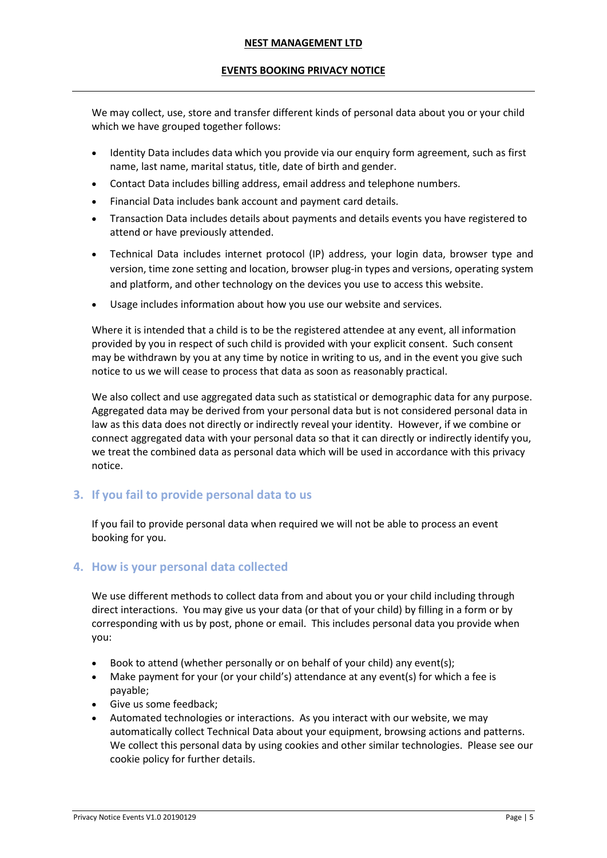## **EVENTS BOOKING PRIVACY NOTICE**

We may collect, use, store and transfer different kinds of personal data about you or your child which we have grouped together follows:

- Identity Data includes data which you provide via our enquiry form agreement, such as first name, last name, marital status, title, date of birth and gender.
- Contact Data includes billing address, email address and telephone numbers.
- Financial Data includes bank account and payment card details.
- Transaction Data includes details about payments and details events you have registered to attend or have previously attended.
- Technical Data includes internet protocol (IP) address, your login data, browser type and version, time zone setting and location, browser plug-in types and versions, operating system and platform, and other technology on the devices you use to access this website.
- Usage includes information about how you use our website and services.

Where it is intended that a child is to be the registered attendee at any event, all information provided by you in respect of such child is provided with your explicit consent. Such consent may be withdrawn by you at any time by notice in writing to us, and in the event you give such notice to us we will cease to process that data as soon as reasonably practical.

We also collect and use aggregated data such as statistical or demographic data for any purpose. Aggregated data may be derived from your personal data but is not considered personal data in law as this data does not directly or indirectly reveal your identity. However, if we combine or connect aggregated data with your personal data so that it can directly or indirectly identify you, we treat the combined data as personal data which will be used in accordance with this privacy notice.

# <span id="page-4-0"></span>**3. If you fail to provide personal data to us**

If you fail to provide personal data when required we will not be able to process an event booking for you.

# <span id="page-4-1"></span>**4. How is your personal data collected**

We use different methods to collect data from and about you or your child including through direct interactions. You may give us your data (or that of your child) by filling in a form or by corresponding with us by post, phone or email. This includes personal data you provide when you:

- Book to attend (whether personally or on behalf of your child) any event(s);
- Make payment for your (or your child's) attendance at any event(s) for which a fee is payable;
- Give us some feedback;
- Automated technologies or interactions. As you interact with our website, we may automatically collect Technical Data about your equipment, browsing actions and patterns. We collect this personal data by using cookies and other similar technologies. Please see our cookie policy for further details.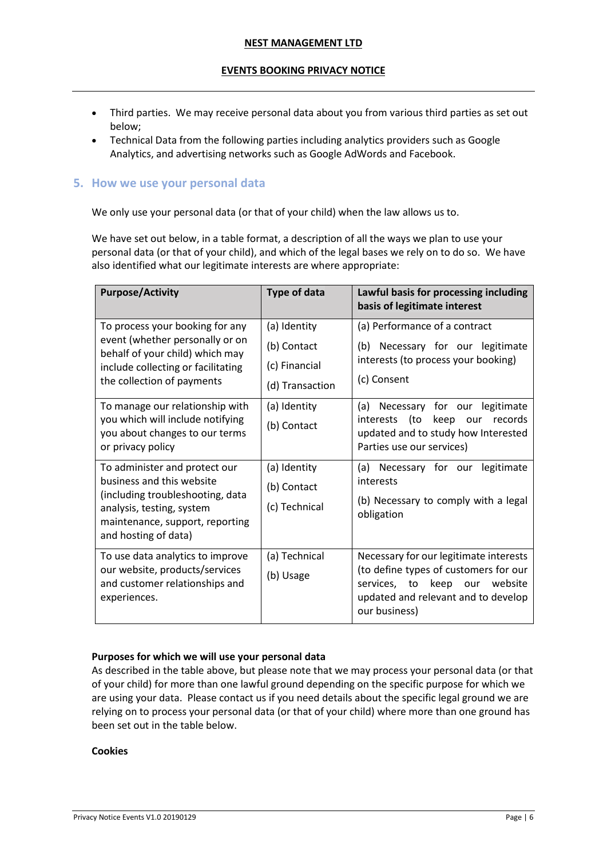## **EVENTS BOOKING PRIVACY NOTICE**

- Third parties. We may receive personal data about you from various third parties as set out below;
- Technical Data from the following parties including analytics providers such as Google Analytics, and advertising networks such as Google AdWords and Facebook.

## <span id="page-5-0"></span>**5. How we use your personal data**

We only use your personal data (or that of your child) when the law allows us to.

We have set out below, in a table format, a description of all the ways we plan to use your personal data (or that of your child), and which of the legal bases we rely on to do so. We have also identified what our legitimate interests are where appropriate:

| <b>Purpose/Activity</b>                                                                                                                                                                                                                          | <b>Type of data</b>                                                                            | Lawful basis for processing including<br>basis of legitimate interest                                                                                                                               |
|--------------------------------------------------------------------------------------------------------------------------------------------------------------------------------------------------------------------------------------------------|------------------------------------------------------------------------------------------------|-----------------------------------------------------------------------------------------------------------------------------------------------------------------------------------------------------|
| To process your booking for any<br>event (whether personally or on<br>behalf of your child) which may<br>include collecting or facilitating<br>the collection of payments<br>To manage our relationship with<br>you which will include notifying | (a) Identity<br>(b) Contact<br>(c) Financial<br>(d) Transaction<br>(a) Identity<br>(b) Contact | (a) Performance of a contract<br>(b) Necessary for our legitimate<br>interests (to process your booking)<br>(c) Consent<br>(a) Necessary for our legitimate<br>keep our records<br>interests<br>to) |
| you about changes to our terms<br>or privacy policy                                                                                                                                                                                              |                                                                                                | updated and to study how Interested<br>Parties use our services)                                                                                                                                    |
| To administer and protect our<br>business and this website<br>(including troubleshooting, data<br>analysis, testing, system<br>maintenance, support, reporting<br>and hosting of data)                                                           | (a) Identity<br>(b) Contact<br>(c) Technical                                                   | (a) Necessary for our legitimate<br>interests<br>(b) Necessary to comply with a legal<br>obligation                                                                                                 |
| To use data analytics to improve<br>our website, products/services<br>and customer relationships and<br>experiences.                                                                                                                             | (a) Technical<br>(b) Usage                                                                     | Necessary for our legitimate interests<br>(to define types of customers for our<br>services, to keep our website<br>updated and relevant and to develop<br>our business)                            |

## **Purposes for which we will use your personal data**

As described in the table above, but please note that we may process your personal data (or that of your child) for more than one lawful ground depending on the specific purpose for which we are using your data. Please contact us if you need details about the specific legal ground we are relying on to process your personal data (or that of your child) where more than one ground has been set out in the table below.

#### **Cookies**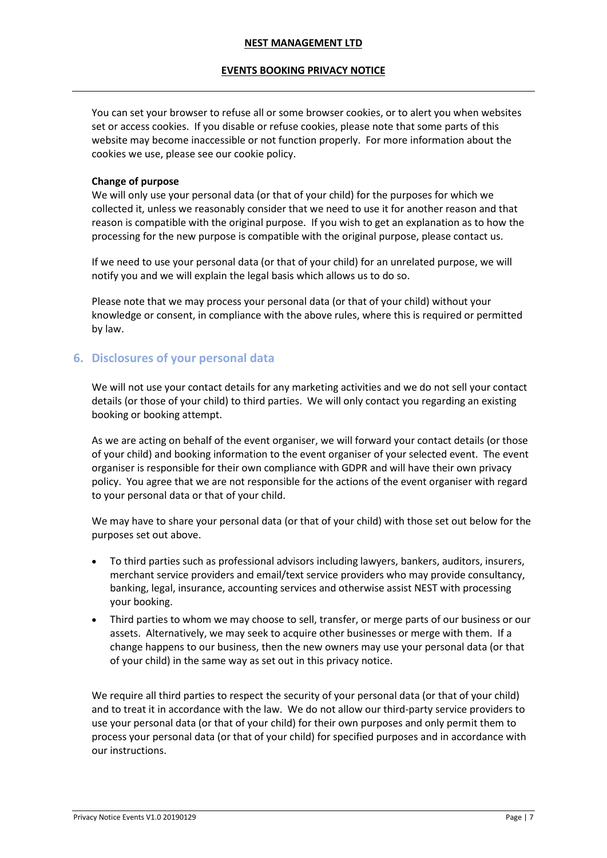## **EVENTS BOOKING PRIVACY NOTICE**

You can set your browser to refuse all or some browser cookies, or to alert you when websites set or access cookies. If you disable or refuse cookies, please note that some parts of this website may become inaccessible or not function properly. For more information about the cookies we use, please see our cookie policy.

## **Change of purpose**

We will only use your personal data (or that of your child) for the purposes for which we collected it, unless we reasonably consider that we need to use it for another reason and that reason is compatible with the original purpose. If you wish to get an explanation as to how the processing for the new purpose is compatible with the original purpose, please contact us.

If we need to use your personal data (or that of your child) for an unrelated purpose, we will notify you and we will explain the legal basis which allows us to do so.

Please note that we may process your personal data (or that of your child) without your knowledge or consent, in compliance with the above rules, where this is required or permitted by law.

# <span id="page-6-0"></span>**6. Disclosures of your personal data**

We will not use your contact details for any marketing activities and we do not sell your contact details (or those of your child) to third parties. We will only contact you regarding an existing booking or booking attempt.

As we are acting on behalf of the event organiser, we will forward your contact details (or those of your child) and booking information to the event organiser of your selected event. The event organiser is responsible for their own compliance with GDPR and will have their own privacy policy. You agree that we are not responsible for the actions of the event organiser with regard to your personal data or that of your child.

We may have to share your personal data (or that of your child) with those set out below for the purposes set out above.

- To third parties such as professional advisors including lawyers, bankers, auditors, insurers, merchant service providers and email/text service providers who may provide consultancy, banking, legal, insurance, accounting services and otherwise assist NEST with processing your booking.
- Third parties to whom we may choose to sell, transfer, or merge parts of our business or our assets. Alternatively, we may seek to acquire other businesses or merge with them. If a change happens to our business, then the new owners may use your personal data (or that of your child) in the same way as set out in this privacy notice.

We require all third parties to respect the security of your personal data (or that of your child) and to treat it in accordance with the law. We do not allow our third-party service providers to use your personal data (or that of your child) for their own purposes and only permit them to process your personal data (or that of your child) for specified purposes and in accordance with our instructions.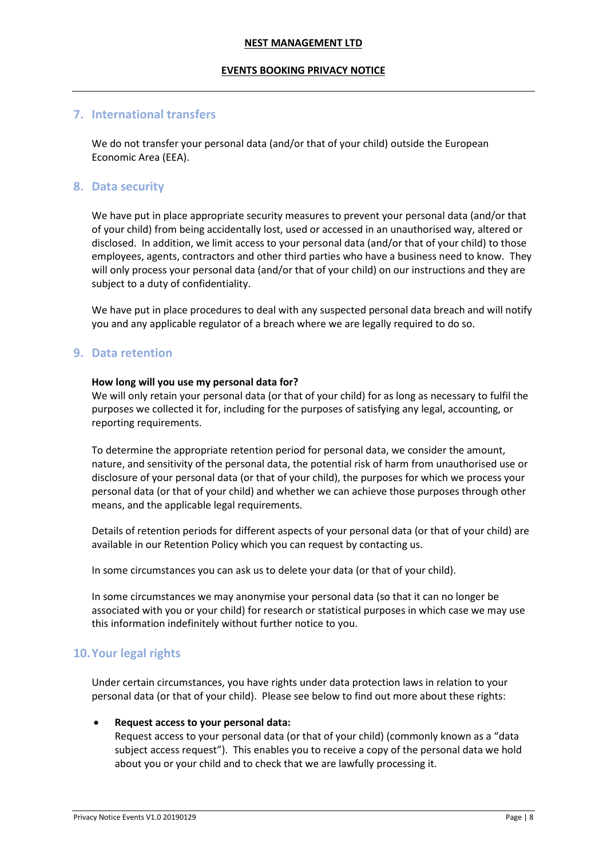#### **EVENTS BOOKING PRIVACY NOTICE**

## <span id="page-7-0"></span>**7. International transfers**

We do not transfer your personal data (and/or that of your child) outside the European Economic Area (EEA).

## <span id="page-7-1"></span>**8. Data security**

We have put in place appropriate security measures to prevent your personal data (and/or that of your child) from being accidentally lost, used or accessed in an unauthorised way, altered or disclosed. In addition, we limit access to your personal data (and/or that of your child) to those employees, agents, contractors and other third parties who have a business need to know. They will only process your personal data (and/or that of your child) on our instructions and they are subject to a duty of confidentiality.

We have put in place procedures to deal with any suspected personal data breach and will notify you and any applicable regulator of a breach where we are legally required to do so.

#### <span id="page-7-2"></span>**9. Data retention**

#### **How long will you use my personal data for?**

We will only retain your personal data (or that of your child) for as long as necessary to fulfil the purposes we collected it for, including for the purposes of satisfying any legal, accounting, or reporting requirements.

To determine the appropriate retention period for personal data, we consider the amount, nature, and sensitivity of the personal data, the potential risk of harm from unauthorised use or disclosure of your personal data (or that of your child), the purposes for which we process your personal data (or that of your child) and whether we can achieve those purposes through other means, and the applicable legal requirements.

Details of retention periods for different aspects of your personal data (or that of your child) are available in our Retention Policy which you can request by contacting us.

In some circumstances you can ask us to delete your data (or that of your child).

In some circumstances we may anonymise your personal data (so that it can no longer be associated with you or your child) for research or statistical purposes in which case we may use this information indefinitely without further notice to you.

## <span id="page-7-3"></span>**10.Your legal rights**

Under certain circumstances, you have rights under data protection laws in relation to your personal data (or that of your child). Please see below to find out more about these rights:

#### • **Request access to your personal data:**

Request access to your personal data (or that of your child) (commonly known as a "data subject access request"). This enables you to receive a copy of the personal data we hold about you or your child and to check that we are lawfully processing it.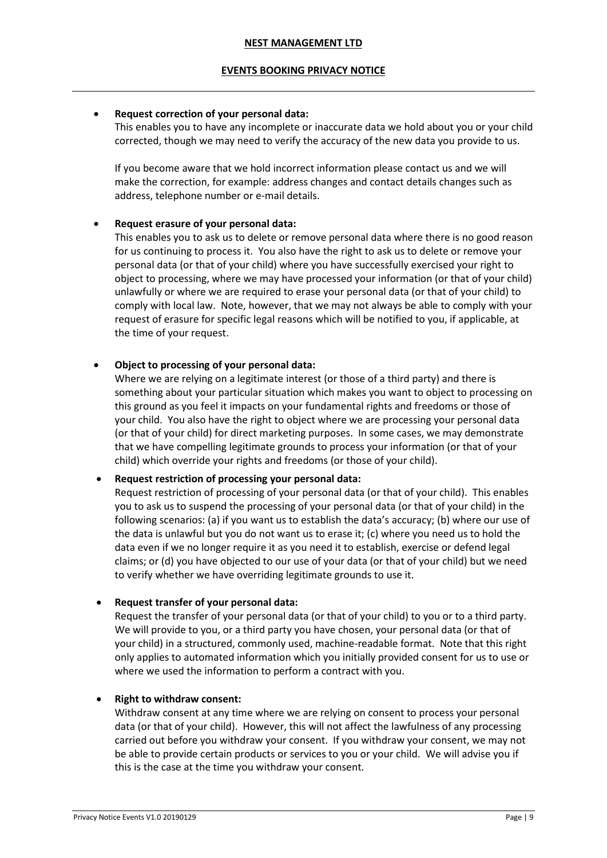#### **EVENTS BOOKING PRIVACY NOTICE**

#### • **Request correction of your personal data:**

This enables you to have any incomplete or inaccurate data we hold about you or your child corrected, though we may need to verify the accuracy of the new data you provide to us.

If you become aware that we hold incorrect information please contact us and we will make the correction, for example: address changes and contact details changes such as address, telephone number or e-mail details.

#### • **Request erasure of your personal data:**

This enables you to ask us to delete or remove personal data where there is no good reason for us continuing to process it. You also have the right to ask us to delete or remove your personal data (or that of your child) where you have successfully exercised your right to object to processing, where we may have processed your information (or that of your child) unlawfully or where we are required to erase your personal data (or that of your child) to comply with local law. Note, however, that we may not always be able to comply with your request of erasure for specific legal reasons which will be notified to you, if applicable, at the time of your request.

#### • **Object to processing of your personal data:**

Where we are relying on a legitimate interest (or those of a third party) and there is something about your particular situation which makes you want to object to processing on this ground as you feel it impacts on your fundamental rights and freedoms or those of your child. You also have the right to object where we are processing your personal data (or that of your child) for direct marketing purposes. In some cases, we may demonstrate that we have compelling legitimate grounds to process your information (or that of your child) which override your rights and freedoms (or those of your child).

#### • **Request restriction of processing your personal data:**

Request restriction of processing of your personal data (or that of your child). This enables you to ask us to suspend the processing of your personal data (or that of your child) in the following scenarios: (a) if you want us to establish the data's accuracy; (b) where our use of the data is unlawful but you do not want us to erase it; (c) where you need us to hold the data even if we no longer require it as you need it to establish, exercise or defend legal claims; or (d) you have objected to our use of your data (or that of your child) but we need to verify whether we have overriding legitimate grounds to use it.

#### • **Request transfer of your personal data:**

Request the transfer of your personal data (or that of your child) to you or to a third party. We will provide to you, or a third party you have chosen, your personal data (or that of your child) in a structured, commonly used, machine-readable format. Note that this right only applies to automated information which you initially provided consent for us to use or where we used the information to perform a contract with you.

#### • **Right to withdraw consent:**

Withdraw consent at any time where we are relying on consent to process your personal data (or that of your child). However, this will not affect the lawfulness of any processing carried out before you withdraw your consent. If you withdraw your consent, we may not be able to provide certain products or services to you or your child. We will advise you if this is the case at the time you withdraw your consent.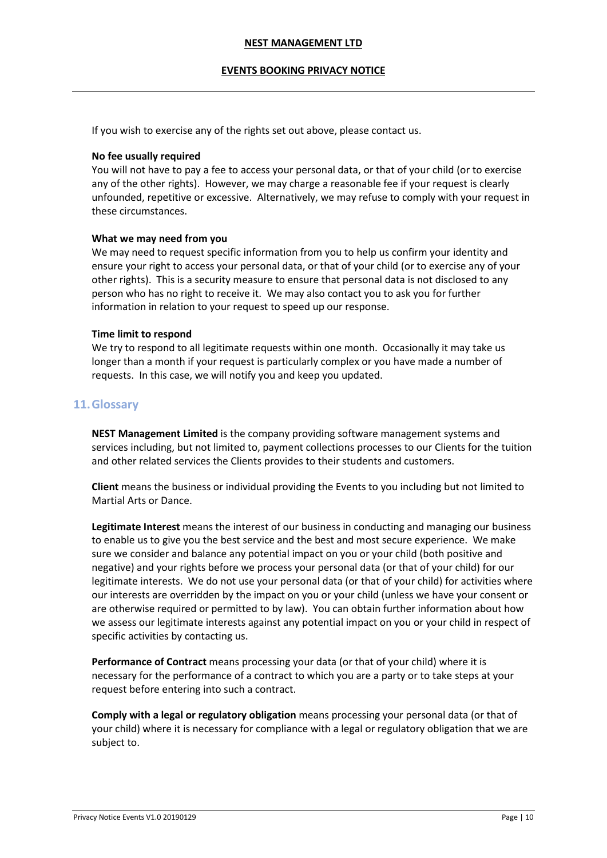#### **EVENTS BOOKING PRIVACY NOTICE**

If you wish to exercise any of the rights set out above, please contact us.

#### **No fee usually required**

You will not have to pay a fee to access your personal data, or that of your child (or to exercise any of the other rights). However, we may charge a reasonable fee if your request is clearly unfounded, repetitive or excessive. Alternatively, we may refuse to comply with your request in these circumstances.

#### **What we may need from you**

We may need to request specific information from you to help us confirm your identity and ensure your right to access your personal data, or that of your child (or to exercise any of your other rights). This is a security measure to ensure that personal data is not disclosed to any person who has no right to receive it. We may also contact you to ask you for further information in relation to your request to speed up our response.

#### **Time limit to respond**

We try to respond to all legitimate requests within one month. Occasionally it may take us longer than a month if your request is particularly complex or you have made a number of requests. In this case, we will notify you and keep you updated.

## <span id="page-9-0"></span>**11.Glossary**

**NEST Management Limited** is the company providing software management systems and services including, but not limited to, payment collections processes to our Clients for the tuition and other related services the Clients provides to their students and customers.

**Client** means the business or individual providing the Events to you including but not limited to Martial Arts or Dance.

**Legitimate Interest** means the interest of our business in conducting and managing our business to enable us to give you the best service and the best and most secure experience. We make sure we consider and balance any potential impact on you or your child (both positive and negative) and your rights before we process your personal data (or that of your child) for our legitimate interests. We do not use your personal data (or that of your child) for activities where our interests are overridden by the impact on you or your child (unless we have your consent or are otherwise required or permitted to by law). You can obtain further information about how we assess our legitimate interests against any potential impact on you or your child in respect of specific activities by contacting us.

**Performance of Contract** means processing your data (or that of your child) where it is necessary for the performance of a contract to which you are a party or to take steps at your request before entering into such a contract.

**Comply with a legal or regulatory obligation** means processing your personal data (or that of your child) where it is necessary for compliance with a legal or regulatory obligation that we are subject to.